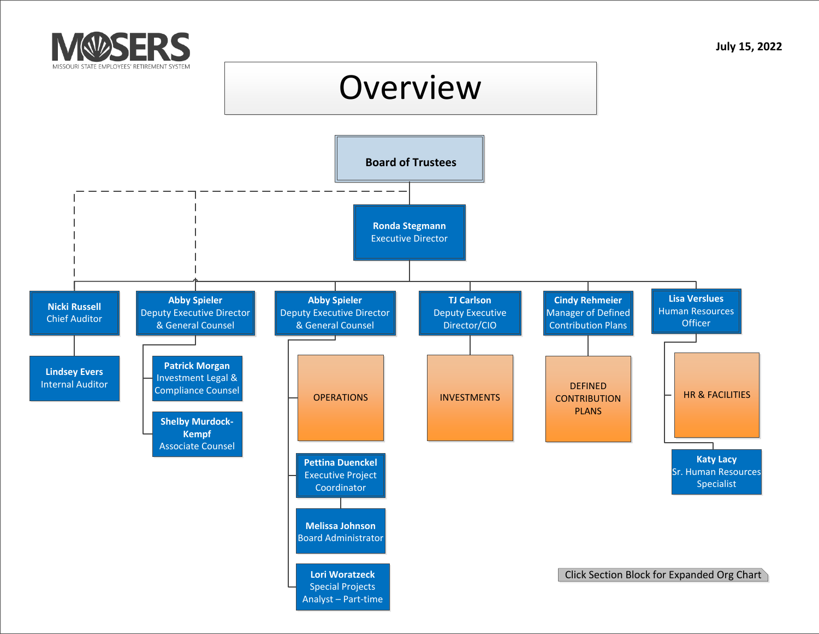<span id="page-0-0"></span>

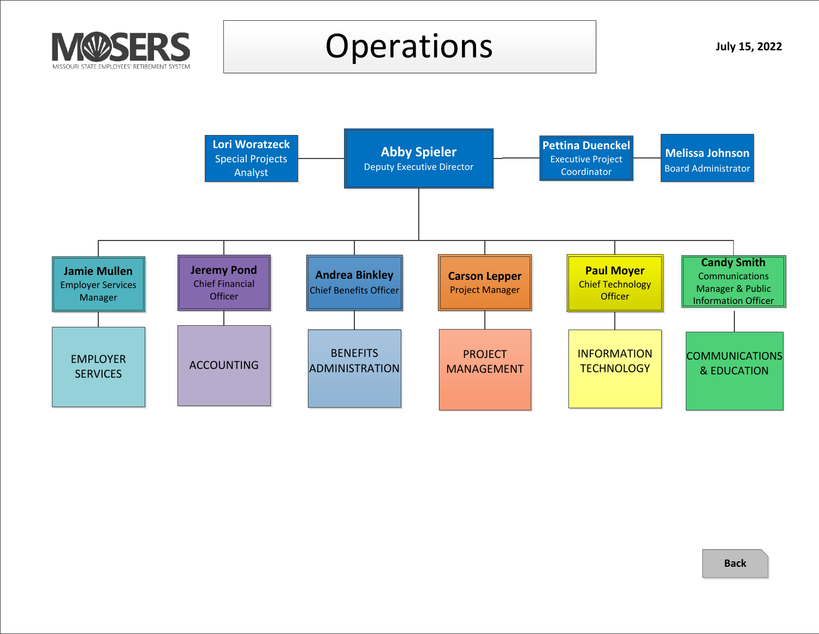<span id="page-1-0"></span>

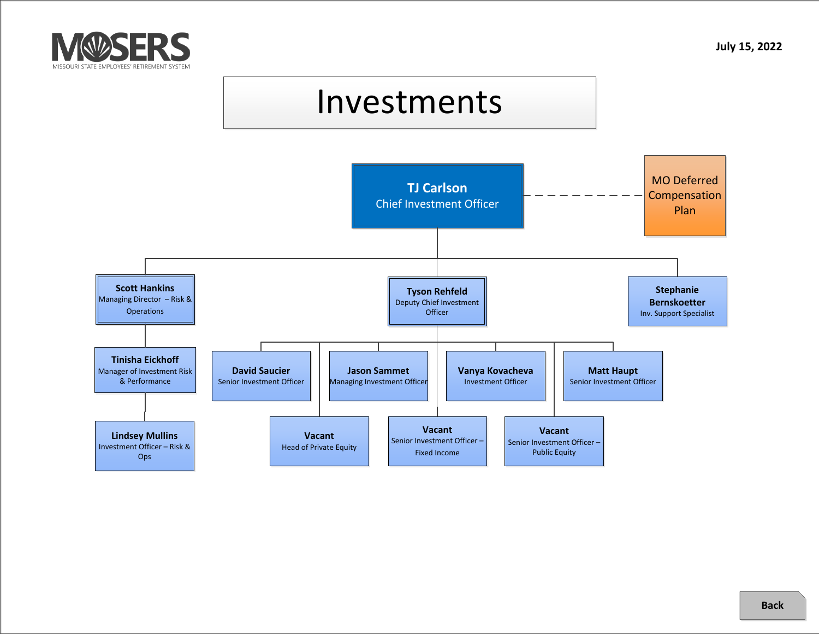<span id="page-2-0"></span>

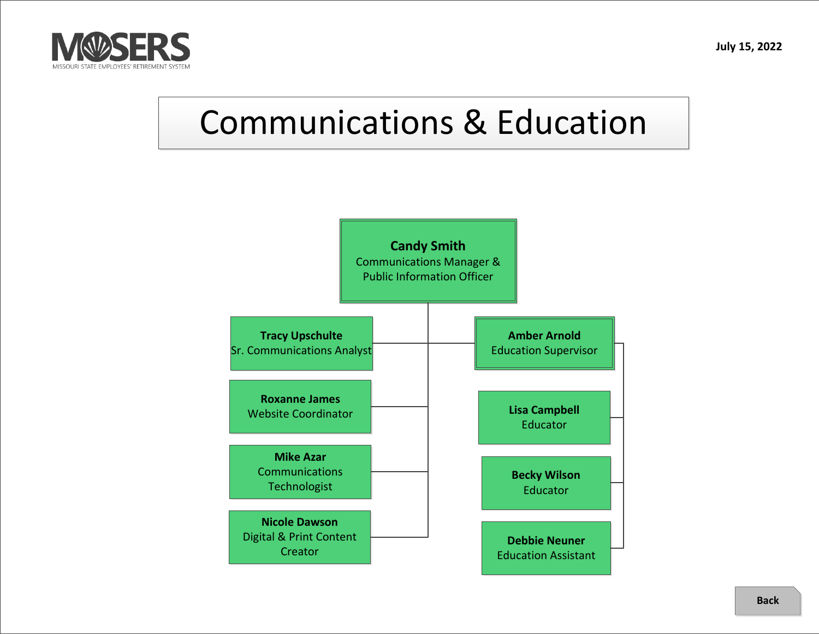<span id="page-3-0"></span>

# Communications & Education

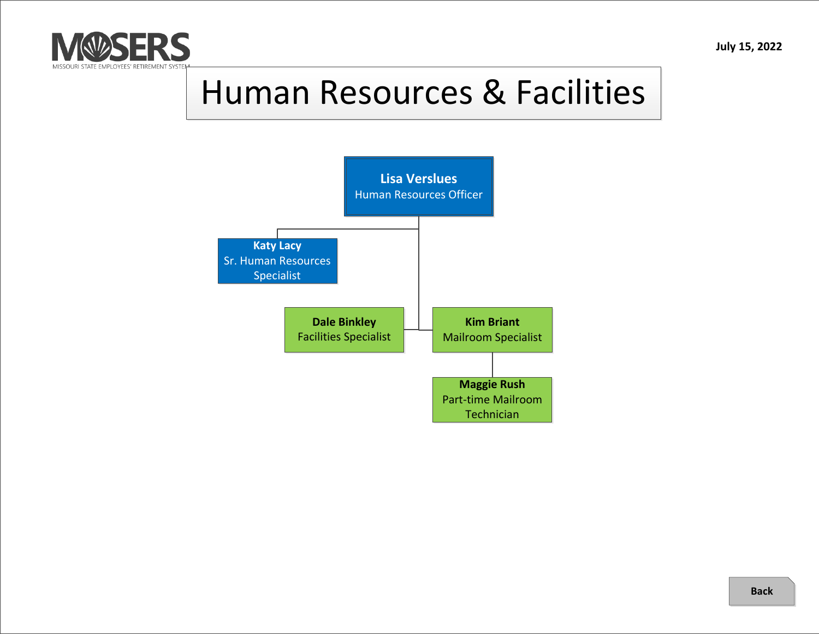<span id="page-4-0"></span>

## Human Resources & Facilities

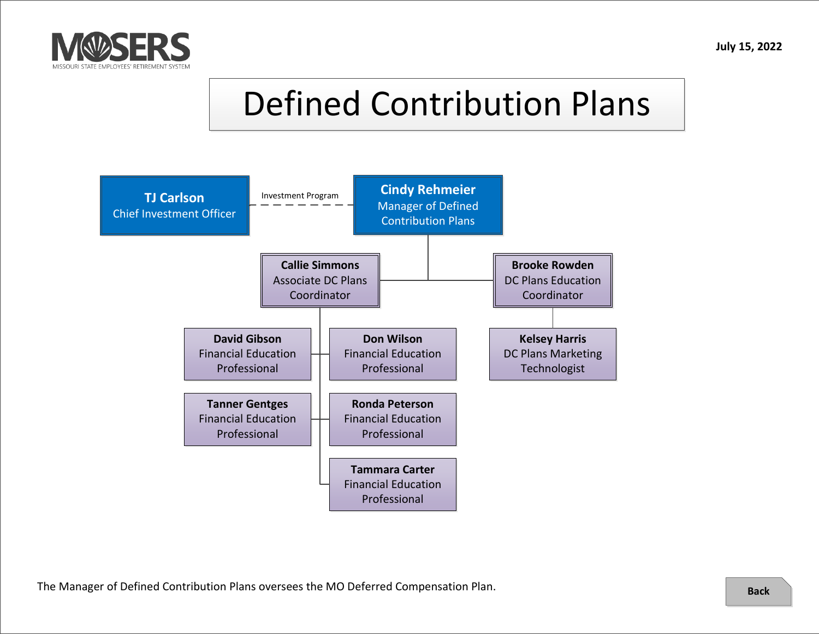<span id="page-5-0"></span>

## Defined Contribution Plans

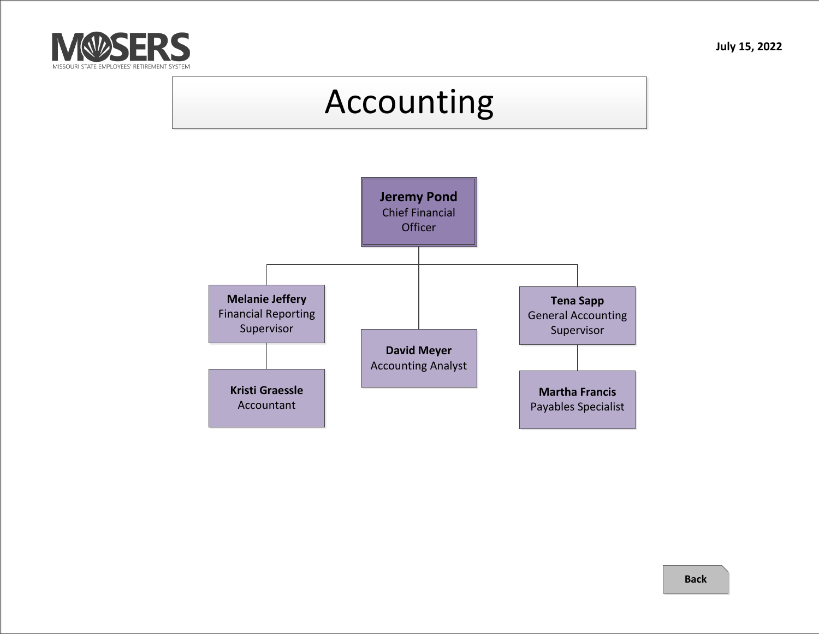<span id="page-6-0"></span>

#### Accounting

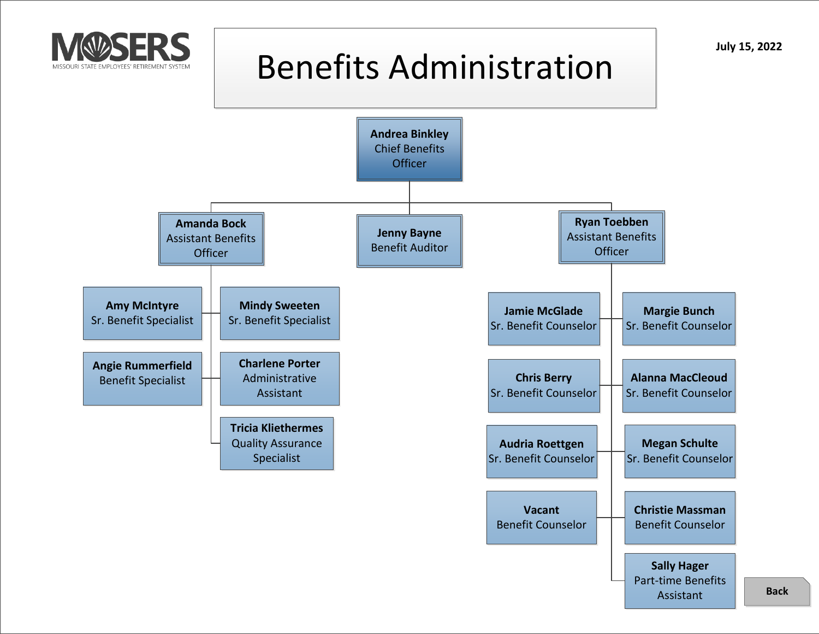<span id="page-7-0"></span>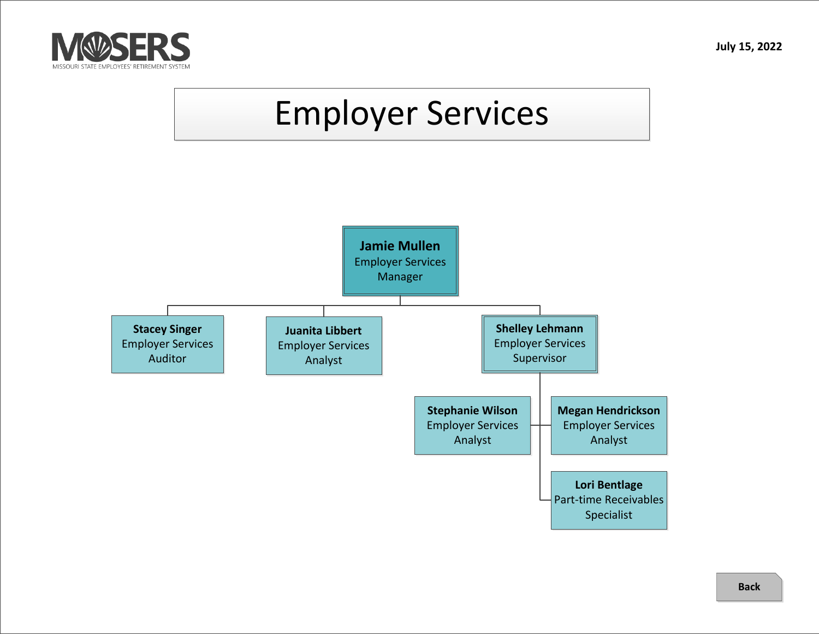<span id="page-8-0"></span>

# Employer Services

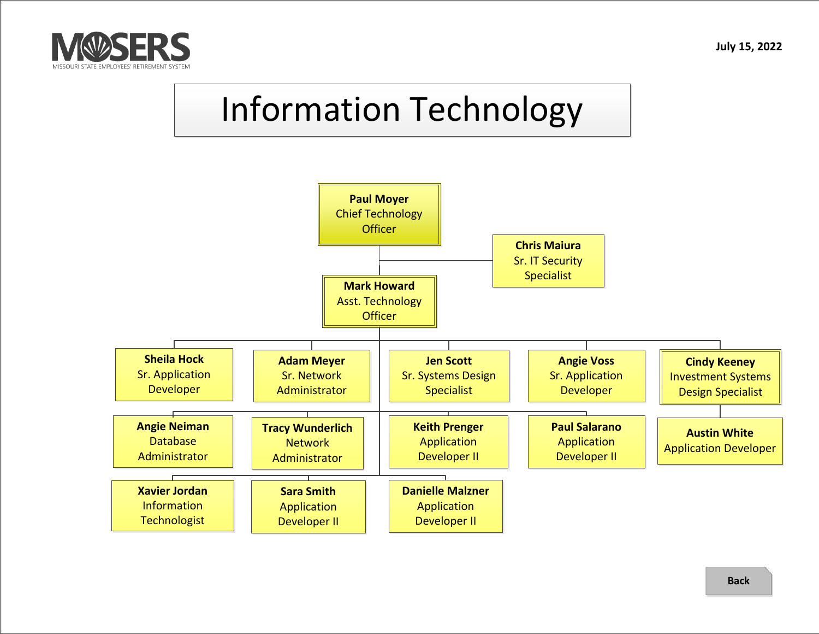<span id="page-9-0"></span>

## Information Technology